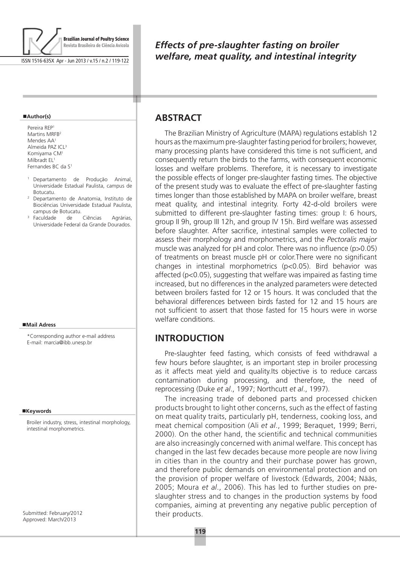

ISSN 1516-635X Apr - Jun 2013 / v.15 / n.2 / 119-122

#### **Author(s)**

Pereira REP1 Martins MRFB<sup>2</sup> Mendes AA<sup>1</sup> Almeida PAZ ICL3 Komiyama CM1 Milbradt EL<sup>1</sup> Fernandes BC da S<sup>1</sup>

- <sup>1</sup> Departamento de Produção Animal, Universidade Estadual Paulista, campus de Botucatu.
- <sup>2</sup> Departamento de Anatomia, Instituto de Biociências Universidade Estadual Paulista, campus de Botucatu.
- <sup>3</sup> Faculdade de Ciências Agrárias, Universidade Federal da Grande Dourados.

#### **Mail Adress**

\*Corresponding author e-mail address E-mail: marcia@ibb.unesp.br

#### **Keywords**

Broiler industry, stress, intestinal morphology, intestinal morphometrics.

Submitted: February/2012 Approved: March/2013

# *Effects of pre-slaughter fasting on broiler welfare, meat quality, and intestinal integrity*

### **ABSTRACT**

т

The Brazilian Ministry of Agriculture (MAPA) regulations establish 12 hours as the maximum pre-slaughter fasting period for broilers; however, many processing plants have considered this time is not sufficient, and consequently return the birds to the farms, with consequent economic losses and welfare problems. Therefore, it is necessary to investigate the possible effects of longer pre-slaughter fasting times. The objective of the present study was to evaluate the effect of pre-slaughter fasting times longer than those established by MAPA on broiler welfare, breast meat quality, and intestinal integrity. Forty 42-d-old broilers were submitted to different pre-slaughter fasting times: group I: 6 hours, group II 9h, group III 12h, and group IV 15h. Bird welfare was assessed before slaughter. After sacrifice, intestinal samples were collected to assess their morphology and morphometrics, and the *Pectoralis major* muscle was analyzed for pH and color. There was no influence (p>0.05) of treatments on breast muscle pH or color.There were no significant changes in intestinal morphometrics (p<0.05). Bird behavior was affected (p<0.05), suggesting that welfare was impaired as fasting time increased, but no differences in the analyzed parameters were detected between broilers fasted for 12 or 15 hours. It was concluded that the behavioral differences between birds fasted for 12 and 15 hours are not sufficient to assert that those fasted for 15 hours were in worse welfare conditions.

#### **Introduction**

Pre-slaughter feed fasting, which consists of feed withdrawal a few hours before slaughter, is an important step in broiler processing as it affects meat yield and quality.Its objective is to reduce carcass contamination during processing, and therefore, the need of reprocessing (Duke *et al*., 1997; Northcutt *et al*., 1997).

The increasing trade of deboned parts and processed chicken products brought to light other concerns, such as the effect of fasting on meat quality traits, particularly pH, tenderness, cooking loss, and meat chemical composition (Ali *et al*., 1999; Beraquet, 1999; Berri, 2000). On the other hand, the scientific and technical communities are also increasingly concerned with animal welfare. This concept has changed in the last few decades because more people are now living in cities than in the country and their purchase power has grown, and therefore public demands on environmental protection and on the provision of proper welfare of livestock (Edwards, 2004; Nääs, 2005; Moura *et al*., 2006). This has led to further studies on preslaughter stress and to changes in the production systems by food companies, aiming at preventing any negative public perception of their products.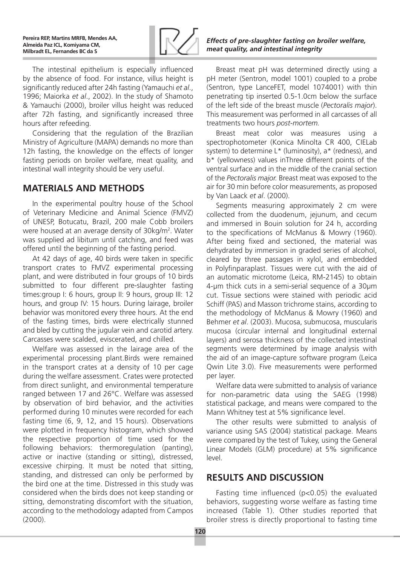

The intestinal epithelium is especially influenced by the absence of food. For instance, villus height is significantly reduced after 24h fasting (Yamauchi *et al*., 1996; Maiorka *et al*., 2002). In the study of Shamoto & Yamauchi (2000), broiler villus height was reduced after 72h fasting, and significantly increased three hours after refeeding.

Considering that the regulation of the Brazilian Ministry of Agriculture (MAPA) demands no more than 12h fasting, the knowledge on the effects of longer fasting periods on broiler welfare, meat quality, and intestinal wall integrity should be very useful.

## **Materials and Methods**

In the experimental poultry house of the School of Veterinary Medicine and Animal Science (FMVZ) of UNESP, Botucatu, Brazil, 200 male Cobb broilers were housed at an average density of 30kg/m<sup>2</sup>. Water was supplied ad libitum until catching, and feed was offered until the beginning of the fasting period.

At 42 days of age, 40 birds were taken in specific transport crates to FMVZ experimental processing plant, and were distributed in four groups of 10 birds submitted to four different pre-slaughter fasting times:group I: 6 hours, group II: 9 hours, group III: 12 hours, and group IV: 15 hours. During lairage, broiler behavior was monitored every three hours. At the end of the fasting times, birds were electrically stunned and bled by cutting the jugular vein and carotid artery. Carcasses were scalded, eviscerated, and chilled.

Welfare was assessed in the lairage area of the experimental processing plant.Birds were remained in the transport crates at a density of 10 per cage during the welfare assessment. Crates were protected from direct sunlight, and environmental temperature ranged between 17 and 26°C. Welfare was assessed by observation of bird behavior, and the activities performed during 10 minutes were recorded for each fasting time (6, 9, 12, and 15 hours). Observations were plotted in frequency histogram, which showed the respective proportion of time used for the following behaviors: thermoregulation (panting), active or inactive (standing or sitting), distressed, excessive chirping. It must be noted that sitting, standing, and distressed can only be performed by the bird one at the time. Distressed in this study was considered when the birds does not keep standing or sitting, demonstrating discomfort with the situation, according to the methodology adapted from Campos (2000).

#### *Effects of pre-slaughter fasting on broiler welfare, meat quality, and intestinal integrity*

Breast meat pH was determined directly using a pH meter (Sentron, model 1001) coupled to a probe (Sentron, type LanceFET, model 1074001) with thin penetrating tip inserted 0.5-1.0cm below the surface of the left side of the breast muscle (*Pectoralis major*). This measurement was performed in all carcasses of all treatments two hours *post-mortem.*

Breast meat color was measures using a spectrophotometer (Konica Minolta CR 400, CIELab system) to determine L\* (luminosity), a\* (redness), and b\* (yellowness) values inThree different points of the ventral surface and in the middle of the cranial section of the *Pectoralis major.* Breast meat was exposed to the air for 30 min before color measurements, as proposed by Van Laack *et al*. (2000).

Segments measuring approximately 2 cm were collected from the duodenum, jejunum, and cecum and immersed in Bouin solution for 24 h, according to the specifications of McManus & Mowry (1960). After being fixed and sectioned, the material was dehydrated by immersion in graded series of alcohol, cleared by three passages in xylol, and embedded in Polyfinparaplast. Tissues were cut with the aid of an automatic microtome (Leica, RM-2145) to obtain 4-µm thick cuts in a semi-serial sequence of a 30µm cut. Tissue sections were stained with periodic acid Schiff (PAS) and Masson trichrome stains, according to the methodology of McManus & Mowry (1960) and Behmer *et al*. (2003). Mucosa, submucosa, muscularis mucosa (circular internal and longitudinal external layers) and serosa thickness of the collected intestinal segments were determined by image analysis with the aid of an image-capture software program (Leica Qwin Lite 3.0). Five measurements were performed per layer.

Welfare data were submitted to analysis of variance for non-parametric data using the SAEG (1998) statistical package, and means were compared to the Mann Whitney test at 5% significance level.

The other results were submitted to analysis of variance using SAS (2004) statistical package. Means were compared by the test of Tukey, using the General Linear Models (GLM) procedure) at 5% significance level.

### **Results and Discussion**

Fasting time influenced (p<0.05) the evaluated behaviors, suggesting worse welfare as fasting time increased (Table 1). Other studies reported that broiler stress is directly proportional to fasting time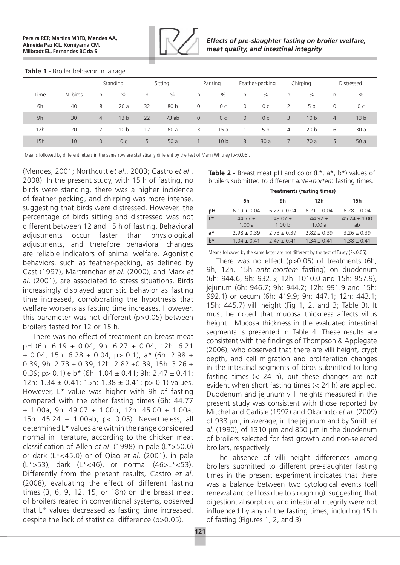

#### **Table 1 -** Broiler behavior in lairage.

|      |          | Standing       |                 | Sitting |      | Panting        |                 | Feather-pecking |                | Chirping       |                 | Distressed     |                 |
|------|----------|----------------|-----------------|---------|------|----------------|-----------------|-----------------|----------------|----------------|-----------------|----------------|-----------------|
| Time | N. birds | n              | $\%$            | n       | $\%$ | n              | $\%$            | n.              | $\%$           | n              | $\%$            | n              | $\%$            |
| 6h   | 40       | 8              | 20a             | 32      | 80 b | 0              | 0 с             | $\overline{0}$  | 0 с            |                | 5 b             | 0              | 0 с             |
| 9h   | 30       | $\overline{4}$ | 13 <sub>b</sub> | 22      | 73ab | $\overline{0}$ | 0 <sub>c</sub>  | $\overline{0}$  | 0 <sub>c</sub> | 3              | 10 <sub>b</sub> | $\overline{4}$ | 13 <sub>b</sub> |
| 12h  | 20       | 2              | 10 <sub>b</sub> | 12      | 60 a | 3.             | 15a             |                 | 5 b            | $\overline{4}$ | 20 <sub>b</sub> | 6              | 30 a            |
| 15h  | 10       | $\overline{0}$ | 0 <sub>c</sub>  | 5       | 50a  |                | 10 <sub>b</sub> | 3               | 30a            | 7              | 70 a            | 5              | 50a             |

Means followed by different letters in the same row are statistically different by the test of Mann Whitney (p<0.05).

(Mendes, 2001; Northcutt *et al*., 2003; Castro *et al*., 2008). In the present study, with 15 h of fasting, no birds were standing, there was a higher incidence of feather pecking, and chirping was more intense, suggesting that birds were distressed. However, the percentage of birds sitting and distressed was not different between 12 and 15 h of fasting. Behavioral adjustments occur faster than physiological adjustments, and therefore behavioral changes are reliable indicators of animal welfare. Agonistic behaviors, such as feather-pecking, as defined by Cast (1997), Martrenchar *et al*. (2000), and Marx *et al*. (2001), are associated to stress situations. Birds increasingly displayed agonistic behavior as fasting time increased, corroborating the hypothesis that welfare worsens as fasting time increases. However, this parameter was not different (p>0.05) between broilers fasted for 12 or 15 h.

There was no effect of treatment on breast meat pH (6h: 6.19 ± 0.04; 9h: 6.27 ± 0.04; 12h: 6.21  $\pm$  0.04; 15h: 6.28  $\pm$  0.04; p > 0.1), a\* (6h: 2.98  $\pm$ 0.39; 9h: 2.73 ± 0.39; 12h: 2.82 ±0.39; 15h: 3.26 ± 0.39; p > 0.1) e  $b*$  (6h: 1.04  $\pm$  0.41; 9h: 2.47  $\pm$  0.41; 12h: 1.34  $\pm$  0.41; 15h: 1.38  $\pm$  0.41; p > 0.1) values. However, L\* value was higher with 9h of fasting compared with the other fasting times (6h: 44.77  $\pm$  1.00a; 9h: 49.07  $\pm$  1.00b; 12h: 45.00  $\pm$  1.00a; 15h: 45.24 ± 1.00ab; p< 0.05). Nevertheless, all determined L\* values are within the range considered normal in literature, according to the chicken meat classification of Allen *et al*. (1998) in pale (L\*>50.0) or dark (L\*<45.0) or of Qiao *et al*. (2001), in pale  $(L* > 53)$ , dark  $(L* < 46)$ , or normal  $(46 > L* < 53)$ . Differently from the present results, Castro *et al*. (2008), evaluating the effect of different fasting times (3, 6, 9, 12, 15, or 18h) on the breast meat of broilers reared in conventional systems, observed that L\* values decreased as fasting time increased, despite the lack of statistical difference (p>0.05).

| Table 2 - Breast meat pH and color $(L^*, a^*, b^*)$ values of |
|----------------------------------------------------------------|
| broilers submitted to different ante-mortem fasting times.     |

|       | <b>Treatments (fasting times)</b> |                                  |                      |                        |  |  |  |  |
|-------|-----------------------------------|----------------------------------|----------------------|------------------------|--|--|--|--|
|       | 6h                                | 9h                               | 12 <sub>h</sub>      | 15h                    |  |  |  |  |
| рH    | $6.19 \pm 0.04$                   | $6.27 \pm 0.04$                  | $6.21 \pm 0.04$      | $6.28 \pm 0.04$        |  |  |  |  |
| $L^*$ | 44.77 $\pm$<br>1.00a              | 49.07 $\pm$<br>1.00 <sub>b</sub> | $44.92 \pm$<br>1.00a | $45.24 \pm 1.00$<br>ab |  |  |  |  |
| a*    | $2.98 \pm 0.39$                   | $2.73 \pm 0.39$                  | $2.82 \pm 0.39$      | $3.26 \pm 0.39$        |  |  |  |  |
| $b*$  | $1.04 \pm 0.41$                   | $2.47 \pm 0.41$                  | $1.34 \pm 0.41$      | $1.38 \pm 0.41$        |  |  |  |  |

Means followed by the same letter are not different by the test of Tukey (P<0.05).

There was no effect (p>0.05) of treatments (6h, 9h, 12h, 15h *ante-mortem* fasting) on duodenum (6h: 944.6; 9h: 932.5; 12h: 1010.0 and 15h: 957.9), jejunum (6h: 946.7; 9h: 944.2; 12h: 991.9 and 15h: 992.1) or cecum (6h: 419.9; 9h: 447.1; 12h: 443.1; 15h: 445.7) villi height (Fig 1, 2, and 3; Table 3). It must be noted that mucosa thickness affects villus height. Mucosa thickness in the evaluated intestinal segments is presented in Table 4. These results are consistent with the findings of Thompson & Applegate (2006), who observed that there are villi height, crypt depth, and cell migration and proliferation changes in the intestinal segments of birds submitted to long fasting times (< 24 h), but these changes are not evident when short fasting times (< 24 h) are applied. Duodenum and jejunum villi heights measured in the present study was consistent with those reported by Mitchel and Carlisle (1992) and Okamoto *et al*. (2009) of 938 μm, in average, in the jejunum and by Smith *et al*. (1990), of 1310 μm and 850 μm in the duodenum of broilers selected for fast growth and non-selected broilers, respectively.

The absence of villi height differences among broilers submitted to different pre-slaughter fasting times in the present experiment indicates that there was a balance between two cytological events (cell renewal and cell loss due to sloughing), suggesting that digestion, absorption, and intestinal integrity were not influenced by any of the fasting times, including 15 h of fasting (Figures 1, 2, and 3)